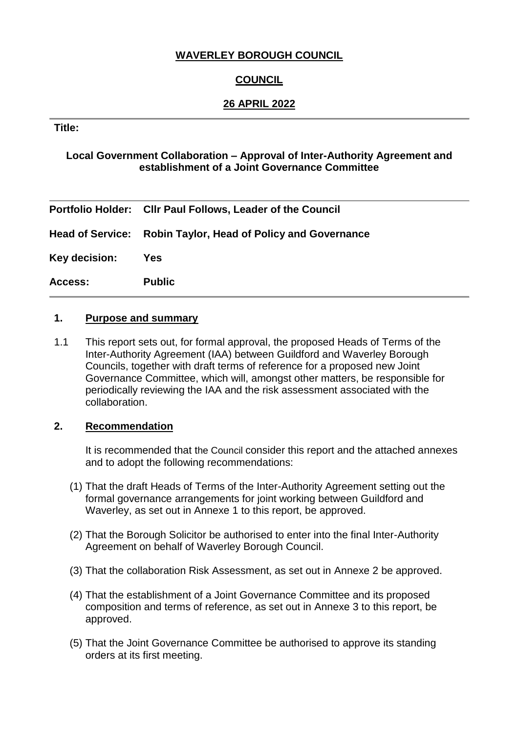# **WAVERLEY BOROUGH COUNCIL**

# **COUNCIL**

### **26 APRIL 2022**

#### **Title:**

### **Local Government Collaboration – Approval of Inter-Authority Agreement and establishment of a Joint Governance Committee**

|                | Portfolio Holder: Cllr Paul Follows, Leader of the Council   |
|----------------|--------------------------------------------------------------|
|                | Head of Service: Robin Taylor, Head of Policy and Governance |
| Key decision:  | <b>Yes</b>                                                   |
| <b>Access:</b> | <b>Public</b>                                                |

### **1. Purpose and summary**

1.1 This report sets out, for formal approval, the proposed Heads of Terms of the Inter-Authority Agreement (IAA) between Guildford and Waverley Borough Councils, together with draft terms of reference for a proposed new Joint Governance Committee, which will, amongst other matters, be responsible for periodically reviewing the IAA and the risk assessment associated with the collaboration.

#### **2. Recommendation**

It is recommended that the Council consider this report and the attached annexes and to adopt the following recommendations:

- (1) That the draft Heads of Terms of the Inter-Authority Agreement setting out the formal governance arrangements for joint working between Guildford and Waverley, as set out in Annexe 1 to this report, be approved.
- (2) That the Borough Solicitor be authorised to enter into the final Inter-Authority Agreement on behalf of Waverley Borough Council.
- (3) That the collaboration Risk Assessment, as set out in Annexe 2 be approved.
- (4) That the establishment of a Joint Governance Committee and its proposed composition and terms of reference, as set out in Annexe 3 to this report, be approved.
- (5) That the Joint Governance Committee be authorised to approve its standing orders at its first meeting.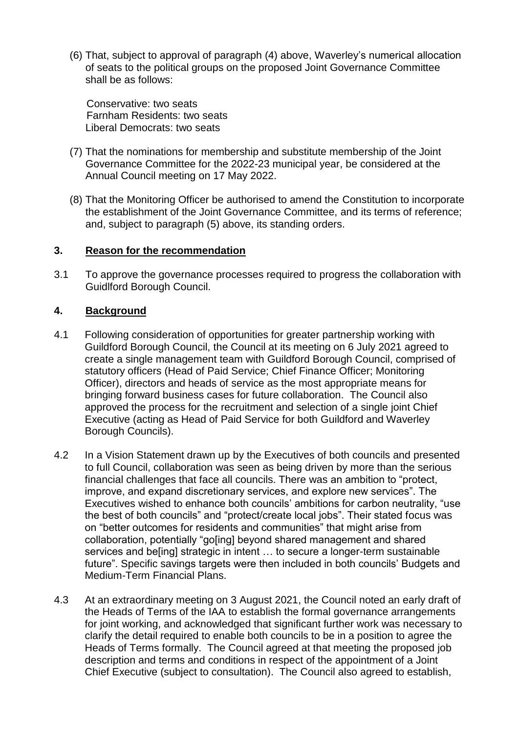(6) That, subject to approval of paragraph (4) above, Waverley's numerical allocation of seats to the political groups on the proposed Joint Governance Committee shall be as follows:

Conservative: two seats Farnham Residents: two seats Liberal Democrats: two seats

- (7) That the nominations for membership and substitute membership of the Joint Governance Committee for the 2022-23 municipal year, be considered at the Annual Council meeting on 17 May 2022.
- (8) That the Monitoring Officer be authorised to amend the Constitution to incorporate the establishment of the Joint Governance Committee, and its terms of reference; and, subject to paragraph (5) above, its standing orders.

#### **3. Reason for the recommendation**

3.1 To approve the governance processes required to progress the collaboration with Guidlford Borough Council.

### **4. Background**

- 4.1 Following consideration of opportunities for greater partnership working with Guildford Borough Council, the Council at its meeting on 6 July 2021 agreed to create a single management team with Guildford Borough Council, comprised of statutory officers (Head of Paid Service; Chief Finance Officer; Monitoring Officer), directors and heads of service as the most appropriate means for bringing forward business cases for future collaboration. The Council also approved the process for the recruitment and selection of a single joint Chief Executive (acting as Head of Paid Service for both Guildford and Waverley Borough Councils).
- 4.2 In a Vision Statement drawn up by the Executives of both councils and presented to full Council, collaboration was seen as being driven by more than the serious financial challenges that face all councils. There was an ambition to "protect, improve, and expand discretionary services, and explore new services". The Executives wished to enhance both councils' ambitions for carbon neutrality, "use the best of both councils" and "protect/create local jobs". Their stated focus was on "better outcomes for residents and communities" that might arise from collaboration, potentially "go[ing] beyond shared management and shared services and be[ing] strategic in intent … to secure a longer-term sustainable future". Specific savings targets were then included in both councils' Budgets and Medium-Term Financial Plans.
- 4.3 At an extraordinary meeting on 3 August 2021, the Council noted an early draft of the Heads of Terms of the IAA to establish the formal governance arrangements for joint working, and acknowledged that significant further work was necessary to clarify the detail required to enable both councils to be in a position to agree the Heads of Terms formally. The Council agreed at that meeting the proposed job description and terms and conditions in respect of the appointment of a Joint Chief Executive (subject to consultation). The Council also agreed to establish,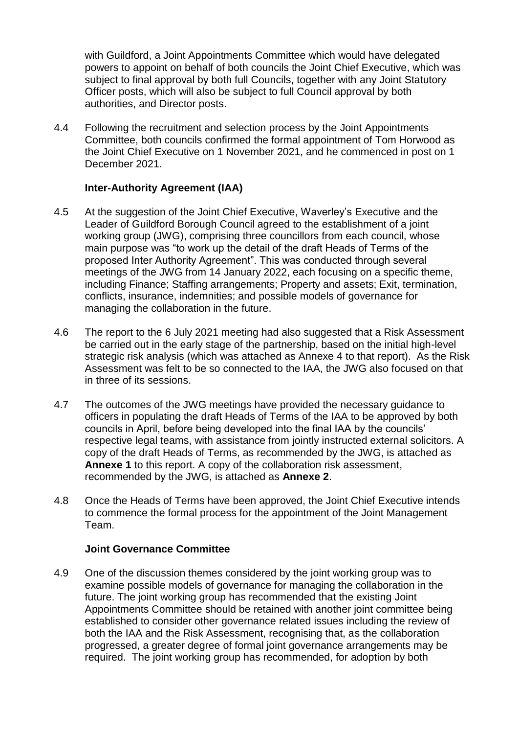with Guildford, a Joint Appointments Committee which would have delegated powers to appoint on behalf of both councils the Joint Chief Executive, which was subject to final approval by both full Councils, together with any Joint Statutory Officer posts, which will also be subject to full Council approval by both authorities, and Director posts.

4.4 Following the recruitment and selection process by the Joint Appointments Committee, both councils confirmed the formal appointment of Tom Horwood as the Joint Chief Executive on 1 November 2021, and he commenced in post on 1 December 2021.

#### **Inter-Authority Agreement (IAA)**

- 4.5 At the suggestion of the Joint Chief Executive, Waverley's Executive and the Leader of Guildford Borough Council agreed to the establishment of a joint working group (JWG), comprising three councillors from each council, whose main purpose was "to work up the detail of the draft Heads of Terms of the proposed Inter Authority Agreement". This was conducted through several meetings of the JWG from 14 January 2022, each focusing on a specific theme, including Finance; Staffing arrangements; Property and assets; Exit, termination, conflicts, insurance, indemnities; and possible models of governance for managing the collaboration in the future.
- 4.6 The report to the 6 July 2021 meeting had also suggested that a Risk Assessment be carried out in the early stage of the partnership, based on the initial high-level strategic risk analysis (which was attached as Annexe 4 to that report). As the Risk Assessment was felt to be so connected to the IAA, the JWG also focused on that in three of its sessions.
- 4.7 The outcomes of the JWG meetings have provided the necessary guidance to officers in populating the draft Heads of Terms of the IAA to be approved by both councils in April, before being developed into the final IAA by the councils' respective legal teams, with assistance from jointly instructed external solicitors. A copy of the draft Heads of Terms, as recommended by the JWG, is attached as **Annexe 1** to this report. A copy of the collaboration risk assessment, recommended by the JWG, is attached as **Annexe 2**.
- 4.8 Once the Heads of Terms have been approved, the Joint Chief Executive intends to commence the formal process for the appointment of the Joint Management Team.

#### **Joint Governance Committee**

4.9 One of the discussion themes considered by the joint working group was to examine possible models of governance for managing the collaboration in the future. The joint working group has recommended that the existing Joint Appointments Committee should be retained with another joint committee being established to consider other governance related issues including the review of both the IAA and the Risk Assessment, recognising that, as the collaboration progressed, a greater degree of formal joint governance arrangements may be required. The joint working group has recommended, for adoption by both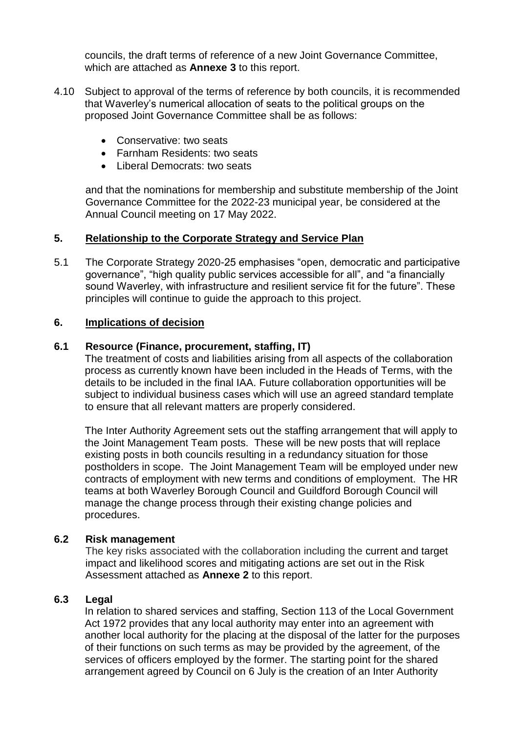councils, the draft terms of reference of a new Joint Governance Committee, which are attached as **Annexe 3** to this report.

- 4.10 Subject to approval of the terms of reference by both councils, it is recommended that Waverley's numerical allocation of seats to the political groups on the proposed Joint Governance Committee shall be as follows:
	- **Conservative:** two seats
	- Farnham Residents: two seats
	- Liberal Democrats: two seats

and that the nominations for membership and substitute membership of the Joint Governance Committee for the 2022-23 municipal year, be considered at the Annual Council meeting on 17 May 2022.

#### **5. Relationship to the Corporate Strategy and Service Plan**

5.1 The Corporate Strategy 2020-25 emphasises "open, democratic and participative governance", "high quality public services accessible for all", and "a financially sound Waverley, with infrastructure and resilient service fit for the future". These principles will continue to guide the approach to this project.

#### **6. Implications of decision**

#### **6.1 Resource (Finance, procurement, staffing, IT)**

The treatment of costs and liabilities arising from all aspects of the collaboration process as currently known have been included in the Heads of Terms, with the details to be included in the final IAA. Future collaboration opportunities will be subject to individual business cases which will use an agreed standard template to ensure that all relevant matters are properly considered.

The Inter Authority Agreement sets out the staffing arrangement that will apply to the Joint Management Team posts. These will be new posts that will replace existing posts in both councils resulting in a redundancy situation for those postholders in scope. The Joint Management Team will be employed under new contracts of employment with new terms and conditions of employment. The HR teams at both Waverley Borough Council and Guildford Borough Council will manage the change process through their existing change policies and procedures.

#### **6.2 Risk management**

The key risks associated with the collaboration including the current and target impact and likelihood scores and mitigating actions are set out in the Risk Assessment attached as **Annexe 2** to this report.

#### **6.3 Legal**

In relation to shared services and staffing, Section 113 of the Local Government Act 1972 provides that any local authority may enter into an agreement with another local authority for the placing at the disposal of the latter for the purposes of their functions on such terms as may be provided by the agreement, of the services of officers employed by the former. The starting point for the shared arrangement agreed by Council on 6 July is the creation of an Inter Authority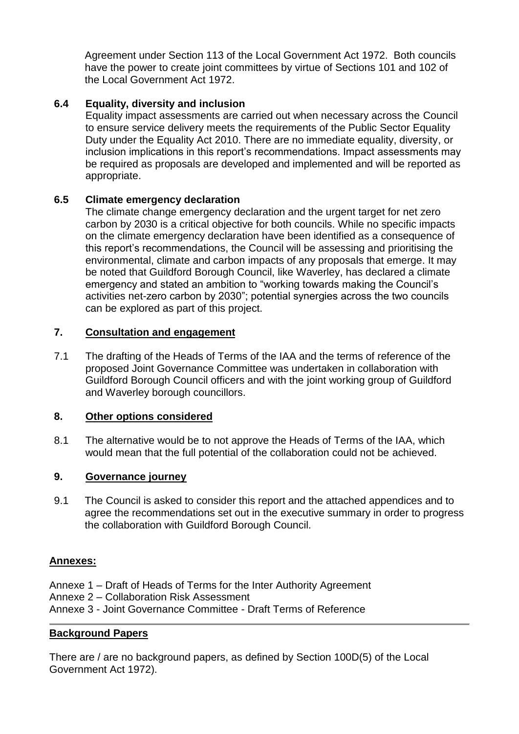Agreement under Section 113 of the Local Government Act 1972. Both councils have the power to create joint committees by virtue of Sections 101 and 102 of the Local Government Act 1972.

# **6.4 Equality, diversity and inclusion**

Equality impact assessments are carried out when necessary across the Council to ensure service delivery meets the requirements of the Public Sector Equality Duty under the Equality Act 2010. There are no immediate equality, diversity, or inclusion implications in this report's recommendations. Impact assessments may be required as proposals are developed and implemented and will be reported as appropriate.

# **6.5 Climate emergency declaration**

The climate change emergency declaration and the urgent target for net zero carbon by 2030 is a critical objective for both councils. While no specific impacts on the climate emergency declaration have been identified as a consequence of this report's recommendations, the Council will be assessing and prioritising the environmental, climate and carbon impacts of any proposals that emerge. It may be noted that Guildford Borough Council, like Waverley, has declared a climate emergency and stated an ambition to "working towards making the Council's activities net-zero carbon by 2030"; potential synergies across the two councils can be explored as part of this project.

### **7. Consultation and engagement**

7.1 The drafting of the Heads of Terms of the IAA and the terms of reference of the proposed Joint Governance Committee was undertaken in collaboration with Guildford Borough Council officers and with the joint working group of Guildford and Waverley borough councillors.

# **8. Other options considered**

8.1 The alternative would be to not approve the Heads of Terms of the IAA, which would mean that the full potential of the collaboration could not be achieved.

# **9. Governance journey**

9.1 The Council is asked to consider this report and the attached appendices and to agree the recommendations set out in the executive summary in order to progress the collaboration with Guildford Borough Council.

#### **Annexes:**

- Annexe 1 Draft of Heads of Terms for the Inter Authority Agreement
- Annexe 2 Collaboration Risk Assessment
- Annexe 3 Joint Governance Committee Draft Terms of Reference

# **Background Papers**

There are / are no background papers, as defined by Section 100D(5) of the Local Government Act 1972).